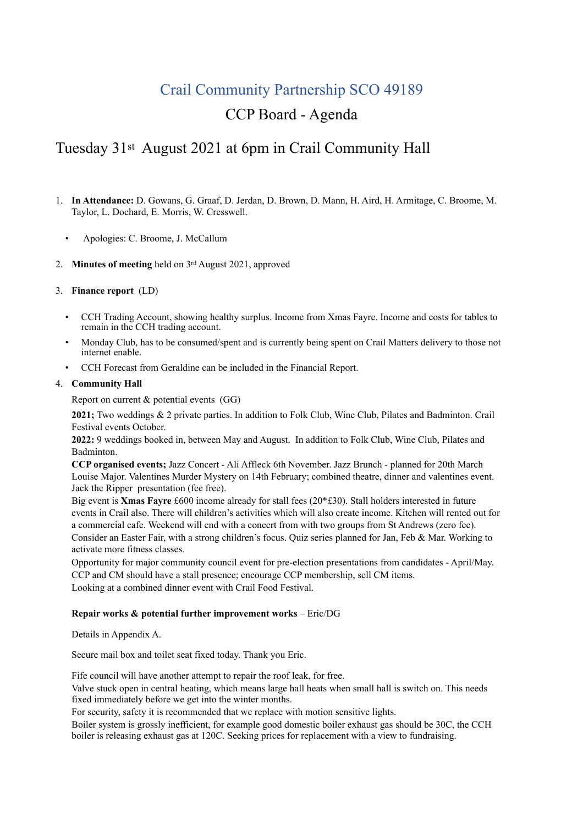# Crail Community Partnership SCO 49189

# CCP Board - Agenda

# Tuesday 31st August 2021 at 6pm in Crail Community Hall

- 1. **In Attendance:** D. Gowans, G. Graaf, D. Jerdan, D. Brown, D. Mann, H. Aird, H. Armitage, C. Broome, M. Taylor, L. Dochard, E. Morris, W. Cresswell.
	- Apologies: C. Broome, J. McCallum
- 2. **Minutes of meeting** held on 3rd August 2021, approved
- 3. **Finance report** (LD)
	- CCH Trading Account, showing healthy surplus. Income from Xmas Fayre. Income and costs for tables to remain in the CCH trading account.
	- Monday Club, has to be consumed/spent and is currently being spent on Crail Matters delivery to those not internet enable.
	- CCH Forecast from Geraldine can be included in the Financial Report.

## 4. **Community Hall**

Report on current & potential events (GG)

**2021;** Two weddings & 2 private parties. In addition to Folk Club, Wine Club, Pilates and Badminton. Crail Festival events October.

**2022:** 9 weddings booked in, between May and August. In addition to Folk Club, Wine Club, Pilates and Badminton.

**CCP organised events;** Jazz Concert - Ali Affleck 6th November. Jazz Brunch - planned for 20th March Louise Major. Valentines Murder Mystery on 14th February; combined theatre, dinner and valentines event. Jack the Ripper presentation (fee free).

Big event is **Xmas Fayre** £600 income already for stall fees (20\*£30). Stall holders interested in future events in Crail also. There will children's activities which will also create income. Kitchen will rented out for a commercial cafe. Weekend will end with a concert from with two groups from St Andrews (zero fee). Consider an Easter Fair, with a strong children's focus. Quiz series planned for Jan, Feb & Mar. Working to activate more fitness classes.

Opportunity for major community council event for pre-election presentations from candidates - April/May. CCP and CM should have a stall presence; encourage CCP membership, sell CM items. Looking at a combined dinner event with Crail Food Festival.

## **Repair works & potential further improvement works – Eric/DG**

Details in Appendix A.

Secure mail box and toilet seat fixed today. Thank you Eric.

Fife council will have another attempt to repair the roof leak, for free.

Valve stuck open in central heating, which means large hall heats when small hall is switch on. This needs fixed immediately before we get into the winter months.

For security, safety it is recommended that we replace with motion sensitive lights.

Boiler system is grossly inefficient, for example good domestic boiler exhaust gas should be 30C, the CCH boiler is releasing exhaust gas at 120C. Seeking prices for replacement with a view to fundraising.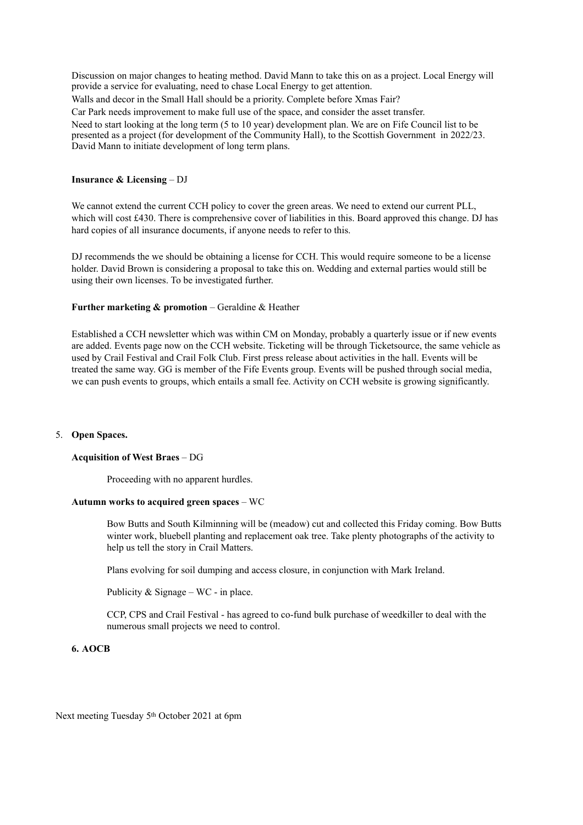Discussion on major changes to heating method. David Mann to take this on as a project. Local Energy will provide a service for evaluating, need to chase Local Energy to get attention.

Walls and decor in the Small Hall should be a priority. Complete before Xmas Fair?

Car Park needs improvement to make full use of the space, and consider the asset transfer.

Need to start looking at the long term (5 to 10 year) development plan. We are on Fife Council list to be presented as a project (for development of the Community Hall), to the Scottish Government in 2022/23. David Mann to initiate development of long term plans.

### **Insurance & Licensing** – DJ

We cannot extend the current CCH policy to cover the green areas. We need to extend our current PLL, which will cost £430. There is comprehensive cover of liabilities in this. Board approved this change. DJ has hard copies of all insurance documents, if anyone needs to refer to this.

DJ recommends the we should be obtaining a license for CCH. This would require someone to be a license holder. David Brown is considering a proposal to take this on. Wedding and external parties would still be using their own licenses. To be investigated further.

#### **Further marketing & promotion – Geraldine & Heather**

Established a CCH newsletter which was within CM on Monday, probably a quarterly issue or if new events are added. Events page now on the CCH website. Ticketing will be through Ticketsource, the same vehicle as used by Crail Festival and Crail Folk Club. First press release about activities in the hall. Events will be treated the same way. GG is member of the Fife Events group. Events will be pushed through social media, we can push events to groups, which entails a small fee. Activity on CCH website is growing significantly.

#### 5. **Open Spaces.**

## **Acquisition of West Braes** – DG

Proceeding with no apparent hurdles.

#### **Autumn works to acquired green spaces** – WC

Bow Butts and South Kilminning will be (meadow) cut and collected this Friday coming. Bow Butts winter work, bluebell planting and replacement oak tree. Take plenty photographs of the activity to help us tell the story in Crail Matters.

Plans evolving for soil dumping and access closure, in conjunction with Mark Ireland.

Publicity  $&$  Signage – WC - in place.

CCP, CPS and Crail Festival - has agreed to co-fund bulk purchase of weedkiller to deal with the numerous small projects we need to control.

### **6. AOCB**

Next meeting Tuesday 5th October 2021 at 6pm